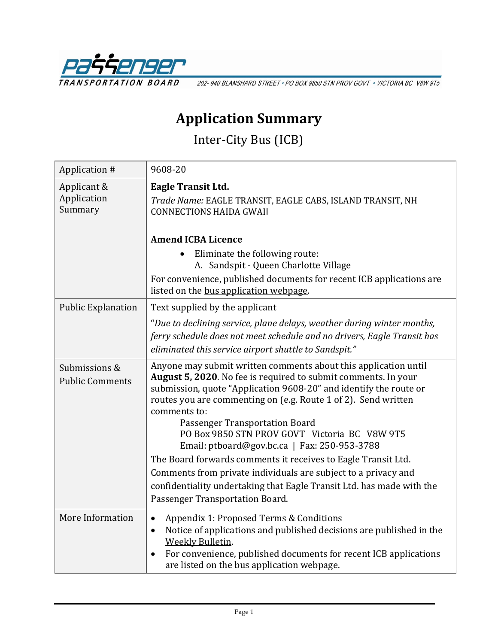

202-940 BLANSHARD STREET · PO BOX 9850 STN PROV GOVT · VICTORIA BC V8W 9T5

# **Application Summary**

Inter-City Bus (ICB)

| Application #                           | 9608-20                                                                                                                                                                                                                                                                                                                                                                                                                                                                                                                                                                                                                                                                    |
|-----------------------------------------|----------------------------------------------------------------------------------------------------------------------------------------------------------------------------------------------------------------------------------------------------------------------------------------------------------------------------------------------------------------------------------------------------------------------------------------------------------------------------------------------------------------------------------------------------------------------------------------------------------------------------------------------------------------------------|
| Applicant &<br>Application<br>Summary   | <b>Eagle Transit Ltd.</b><br>Trade Name: EAGLE TRANSIT, EAGLE CABS, ISLAND TRANSIT, NH<br><b>CONNECTIONS HAIDA GWAII</b>                                                                                                                                                                                                                                                                                                                                                                                                                                                                                                                                                   |
|                                         | <b>Amend ICBA Licence</b>                                                                                                                                                                                                                                                                                                                                                                                                                                                                                                                                                                                                                                                  |
|                                         | Eliminate the following route:<br>A. Sandspit - Queen Charlotte Village                                                                                                                                                                                                                                                                                                                                                                                                                                                                                                                                                                                                    |
|                                         | For convenience, published documents for recent ICB applications are<br>listed on the bus application webpage.                                                                                                                                                                                                                                                                                                                                                                                                                                                                                                                                                             |
| <b>Public Explanation</b>               | Text supplied by the applicant                                                                                                                                                                                                                                                                                                                                                                                                                                                                                                                                                                                                                                             |
|                                         | "Due to declining service, plane delays, weather during winter months,<br>ferry schedule does not meet schedule and no drivers, Eagle Transit has<br>eliminated this service airport shuttle to Sandspit."                                                                                                                                                                                                                                                                                                                                                                                                                                                                 |
| Submissions &<br><b>Public Comments</b> | Anyone may submit written comments about this application until<br>August 5, 2020. No fee is required to submit comments. In your<br>submission, quote "Application 9608-20" and identify the route or<br>routes you are commenting on (e.g. Route 1 of 2). Send written<br>comments to:<br>Passenger Transportation Board<br>PO Box 9850 STN PROV GOVT Victoria BC V8W 9T5<br>Email: ptboard@gov.bc.ca   Fax: 250-953-3788<br>The Board forwards comments it receives to Eagle Transit Ltd.<br>Comments from private individuals are subject to a privacy and<br>confidentiality undertaking that Eagle Transit Ltd. has made with the<br>Passenger Transportation Board. |
| More Information                        | Appendix 1: Proposed Terms & Conditions<br>$\bullet$<br>Notice of applications and published decisions are published in the<br>$\bullet$<br><b>Weekly Bulletin.</b><br>For convenience, published documents for recent ICB applications<br>$\bullet$<br>are listed on the bus application webpage.                                                                                                                                                                                                                                                                                                                                                                         |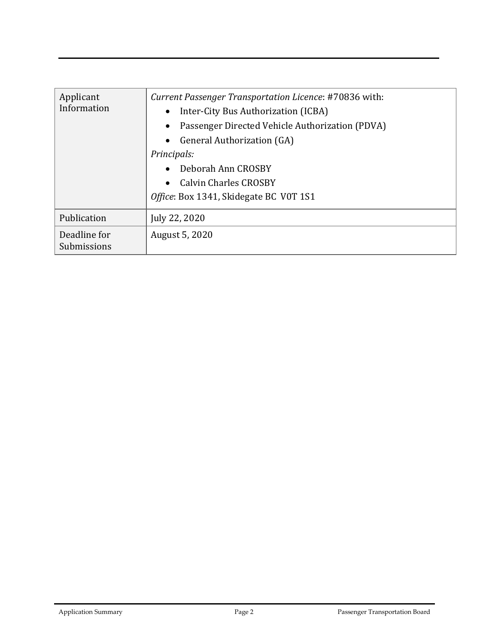| Applicant<br>Information    | Current Passenger Transportation Licence: #70836 with: |
|-----------------------------|--------------------------------------------------------|
|                             | Inter-City Bus Authorization (ICBA)                    |
|                             | Passenger Directed Vehicle Authorization (PDVA)        |
|                             | General Authorization (GA)                             |
|                             | Principals:                                            |
|                             | Deborah Ann CROSBY                                     |
|                             | <b>Calvin Charles CROSBY</b>                           |
|                             | Office: Box 1341, Skidegate BC V0T 1S1                 |
| Publication                 | July 22, 2020                                          |
| Deadline for<br>Submissions | August 5, 2020                                         |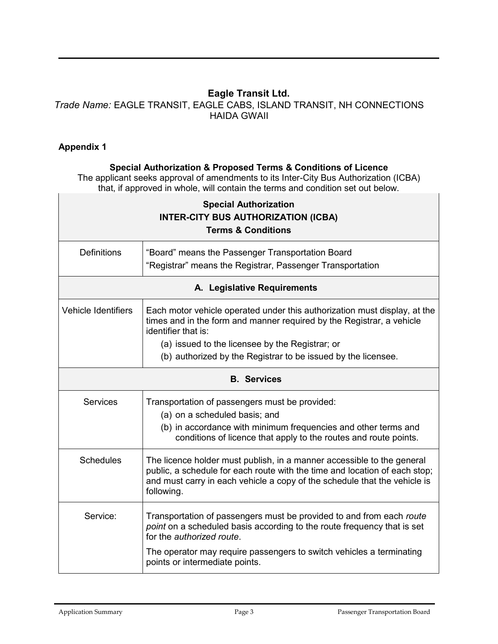## **Eagle Transit Ltd.**

### *Trade Name:* EAGLE TRANSIT, EAGLE CABS, ISLAND TRANSIT, NH CONNECTIONS HAIDA GWAII

#### **Appendix 1**

#### **Special Authorization & Proposed Terms & Conditions of Licence**

The applicant seeks approval of amendments to its Inter-City Bus Authorization (ICBA) that, if approved in whole, will contain the terms and condition set out below.

| <b>Special Authorization</b><br><b>INTER-CITY BUS AUTHORIZATION (ICBA)</b><br><b>Terms &amp; Conditions</b> |                                                                                                                                                                                                                                                                                               |  |
|-------------------------------------------------------------------------------------------------------------|-----------------------------------------------------------------------------------------------------------------------------------------------------------------------------------------------------------------------------------------------------------------------------------------------|--|
| <b>Definitions</b>                                                                                          | "Board" means the Passenger Transportation Board<br>"Registrar" means the Registrar, Passenger Transportation                                                                                                                                                                                 |  |
| A. Legislative Requirements                                                                                 |                                                                                                                                                                                                                                                                                               |  |
| <b>Vehicle Identifiers</b>                                                                                  | Each motor vehicle operated under this authorization must display, at the<br>times and in the form and manner required by the Registrar, a vehicle<br>identifier that is:<br>(a) issued to the licensee by the Registrar; or<br>(b) authorized by the Registrar to be issued by the licensee. |  |
| <b>B.</b> Services                                                                                          |                                                                                                                                                                                                                                                                                               |  |
| <b>Services</b>                                                                                             | Transportation of passengers must be provided:<br>(a) on a scheduled basis; and<br>(b) in accordance with minimum frequencies and other terms and<br>conditions of licence that apply to the routes and route points.                                                                         |  |
| <b>Schedules</b>                                                                                            | The licence holder must publish, in a manner accessible to the general<br>public, a schedule for each route with the time and location of each stop;<br>and must carry in each vehicle a copy of the schedule that the vehicle is<br>following.                                               |  |
| Service:                                                                                                    | Transportation of passengers must be provided to and from each route<br>point on a scheduled basis according to the route frequency that is set<br>for the <i>authorized</i> route.<br>The operator may require passengers to switch vehicles a terminating<br>points or intermediate points. |  |

┑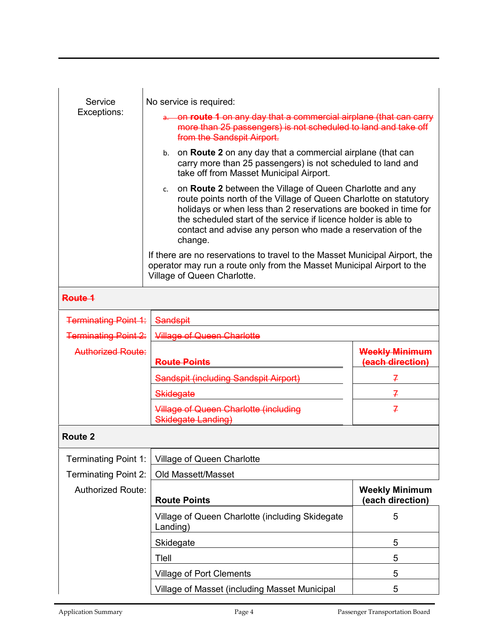| Service                     | No service is required:                                                                                                                                                                                                                                                                                                                               |                                           |  |
|-----------------------------|-------------------------------------------------------------------------------------------------------------------------------------------------------------------------------------------------------------------------------------------------------------------------------------------------------------------------------------------------------|-------------------------------------------|--|
| Exceptions:                 | a. on route 1 on any day that a commercial airplane (that can carry<br>more than 25 passengers) is not scheduled to land and take off<br>from the Sandspit Airport.                                                                                                                                                                                   |                                           |  |
|                             | b. on Route 2 on any day that a commercial airplane (that can<br>carry more than 25 passengers) is not scheduled to land and<br>take off from Masset Municipal Airport.                                                                                                                                                                               |                                           |  |
|                             | on Route 2 between the Village of Queen Charlotte and any<br>c.<br>route points north of the Village of Queen Charlotte on statutory<br>holidays or when less than 2 reservations are booked in time for<br>the scheduled start of the service if licence holder is able to<br>contact and advise any person who made a reservation of the<br>change. |                                           |  |
|                             | If there are no reservations to travel to the Masset Municipal Airport, the<br>operator may run a route only from the Masset Municipal Airport to the<br>Village of Queen Charlotte.                                                                                                                                                                  |                                           |  |
| Route 1                     |                                                                                                                                                                                                                                                                                                                                                       |                                           |  |
| <b>Terminating Point 1:</b> | <b>Sandspit</b>                                                                                                                                                                                                                                                                                                                                       |                                           |  |
| <b>Terminating Point 2:</b> | <b>Village of Queen Charlotte</b>                                                                                                                                                                                                                                                                                                                     |                                           |  |
| Authorized Route:           | <b>Route Points</b>                                                                                                                                                                                                                                                                                                                                   | <b>Weekly Minimum</b><br>(each direction) |  |
|                             | Sandspit (including Sandspit Airport)                                                                                                                                                                                                                                                                                                                 | 7                                         |  |
|                             | <b>Skidegate</b>                                                                                                                                                                                                                                                                                                                                      | 7                                         |  |
|                             | <b>Village of Queen Charlotte (including</b><br>Skidegate Landing)                                                                                                                                                                                                                                                                                    | $\overline{f}$                            |  |
| Route 2                     |                                                                                                                                                                                                                                                                                                                                                       |                                           |  |
| <b>Terminating Point 1:</b> | Village of Queen Charlotte                                                                                                                                                                                                                                                                                                                            |                                           |  |
| Terminating Point 2:        | Old Massett/Masset                                                                                                                                                                                                                                                                                                                                    |                                           |  |
| <b>Authorized Route:</b>    | <b>Route Points</b>                                                                                                                                                                                                                                                                                                                                   | <b>Weekly Minimum</b><br>(each direction) |  |
|                             | Village of Queen Charlotte (including Skidegate<br>Landing)                                                                                                                                                                                                                                                                                           | 5                                         |  |
|                             | Skidegate                                                                                                                                                                                                                                                                                                                                             | 5                                         |  |
|                             | Tlell                                                                                                                                                                                                                                                                                                                                                 | 5                                         |  |

Village of Port Clements 5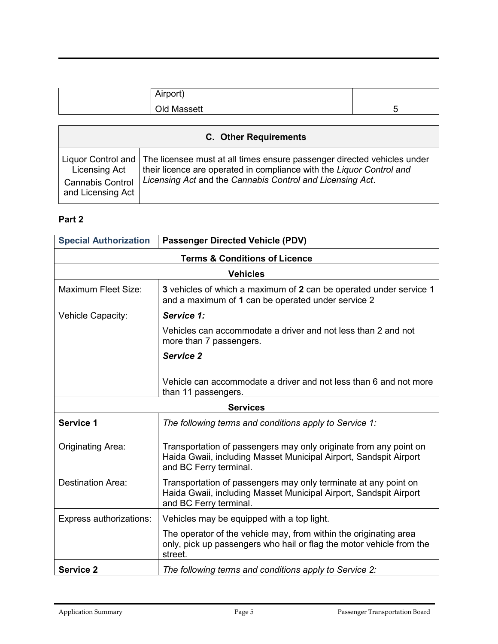| )ld<br>в <i>п</i> | - |
|-------------------|---|

| <b>C.</b> Other Requirements |                                                                                              |
|------------------------------|----------------------------------------------------------------------------------------------|
| Licensing Act                | Liquor Control and   The licensee must at all times ensure passenger directed vehicles under |
| <b>Cannabis Control</b>      | their licence are operated in compliance with the Liguor Control and                         |
| and Licensing Act            | Licensing Act and the Cannabis Control and Licensing Act.                                    |

#### **Part 2**

| <b>Special Authorization</b>             | <b>Passenger Directed Vehicle (PDV)</b>                                                                                                                          |  |
|------------------------------------------|------------------------------------------------------------------------------------------------------------------------------------------------------------------|--|
| <b>Terms &amp; Conditions of Licence</b> |                                                                                                                                                                  |  |
| <b>Vehicles</b>                          |                                                                                                                                                                  |  |
| <b>Maximum Fleet Size:</b>               | 3 vehicles of which a maximum of 2 can be operated under service 1<br>and a maximum of 1 can be operated under service 2                                         |  |
| Vehicle Capacity:                        | Service 1:                                                                                                                                                       |  |
|                                          | Vehicles can accommodate a driver and not less than 2 and not<br>more than 7 passengers.                                                                         |  |
|                                          | Service 2                                                                                                                                                        |  |
|                                          | Vehicle can accommodate a driver and not less than 6 and not more<br>than 11 passengers.                                                                         |  |
| <b>Services</b>                          |                                                                                                                                                                  |  |
| Service 1                                | The following terms and conditions apply to Service 1:                                                                                                           |  |
| Originating Area:                        | Transportation of passengers may only originate from any point on<br>Haida Gwaii, including Masset Municipal Airport, Sandspit Airport<br>and BC Ferry terminal. |  |
| <b>Destination Area:</b>                 | Transportation of passengers may only terminate at any point on<br>Haida Gwaii, including Masset Municipal Airport, Sandspit Airport<br>and BC Ferry terminal.   |  |
| Express authorizations:                  | Vehicles may be equipped with a top light.                                                                                                                       |  |
|                                          | The operator of the vehicle may, from within the originating area<br>only, pick up passengers who hail or flag the motor vehicle from the<br>street.             |  |
| <b>Service 2</b>                         | The following terms and conditions apply to Service 2:                                                                                                           |  |